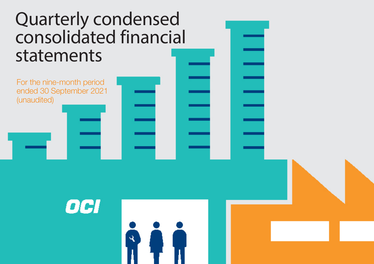# Quarterly condensed consolidated financial statements

For the nine-month period ended 30 September 2021 (unaudited)

OCI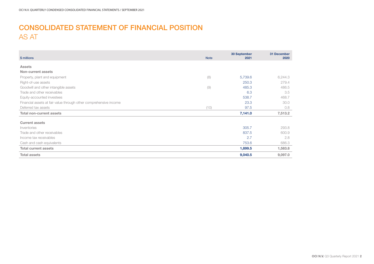# CONSOLIDATED STATEMENT OF FINANCIAL POSITION AS AT

| \$ millions                                                       | <b>Note</b> | 30 September<br>2021 | 31 December<br>2020 |
|-------------------------------------------------------------------|-------------|----------------------|---------------------|
|                                                                   |             |                      |                     |
| <b>Assets</b>                                                     |             |                      |                     |
| Non-current assets                                                |             |                      |                     |
| Property, plant and equipment                                     | (8)         | 5,739.6              | 6,244.3             |
| Right-of-use assets                                               |             | 250.3                | 279.4               |
| Goodwill and other intangible assets                              | (9)         | 485.3                | 486.5               |
| Trade and other receivables                                       |             | 6.3                  | 3.5                 |
| Equity-accounted investees                                        |             | 538.7                | 468.7               |
| Financial assets at fair value through other comprehensive income |             | 23.3                 | 30.0                |
| Deferred tax assets                                               | (10)        | 97.5                 | 0.8                 |
| <b>Total non-current assets</b>                                   |             | 7,141.0              | 7,513.2             |
| <b>Current assets</b>                                             |             |                      |                     |
| Inventories                                                       |             | 305.7                | 293.8               |
| Trade and other receivables                                       |             | 837.5                | 600.9               |
| Income tax receivables                                            |             | 2.7                  | 2.8                 |
| Cash and cash equivalents                                         |             | 753.6                | 686.3               |
| <b>Total current assets</b>                                       |             | 1,899.5              | 1,583.8             |
| <b>Total assets</b>                                               |             | 9,040.5              | 9,097.0             |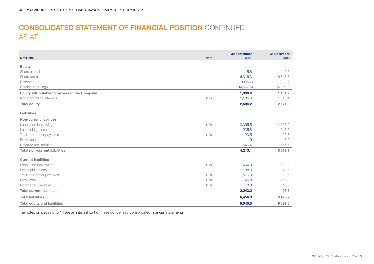# CONSOLIDATED STATEMENT OF FINANCIAL POSITION CONTINUED AS AT

| \$ millions                                  | <b>Note</b> | 30 September<br>2021 | 31 December<br>2020 |
|----------------------------------------------|-------------|----------------------|---------------------|
| <b>Equity</b>                                |             |                      |                     |
| Share capital                                |             | 5.6                  | 5.6                 |
| Share premium                                |             | 6,316.3              | 6,316.3             |
| Reserves                                     |             | (355.7)              | (338.4)             |
| Retained earnings                            |             | (4, 567.6)           | (4, 851.8)          |
| Equity attributable to owners of the Company |             | 1,398.6              | 1,131.7             |
| Non-controlling interests                    | (11)        | 1,185.6              | 1,540.1             |
| <b>Total equity</b>                          |             | 2,584.2              | 2,671.8             |
| Liabilities                                  |             |                      |                     |
| Non-current liabilities                      |             |                      |                     |
| Loans and borrowings                         | (12)        | 3,395.5              | 4,226.9             |
| Lease obligations                            |             | 235.8                | 248.6               |
| Trade and other payables                     | (13)        | 23.5                 | 25.7                |
| Provisions                                   |             | 11.9                 | 3.0                 |
| Deferred tax liabilities                     |             | 546.4                | 515.5               |
| <b>Total non-current liabilities</b>         |             | 4,213.1              | 5,019.7             |
| <b>Current liabilities</b>                   |             |                      |                     |
| Loans and borrowings                         | (12)        | 404.0                | 189.7               |
| Lease obligations                            |             | 38.3                 | 43.6                |
| Trade and other payables                     | (13)        | 1,576.3              | 1,003.6             |
| Provisions                                   | (18)        | 145.8                | 158.3               |
| Income tax payables                          | (16)        | 78.8                 | 10.3                |
| <b>Total current liabilities</b>             |             | 2,243.2              | 1,405.5             |
| <b>Total liabilities</b>                     |             | 6,456.3              | 6,425.2             |
| <b>Total equity and liabilities</b>          |             | 9,040.5              | 9,097.0             |

The notes on pages 8 to 14 are an integral part of these condensed consolidated financial statements.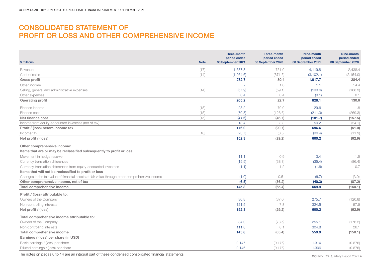# CONSOLIDATED STATEMENT OF PROFIT OR LOSS AND OTHER COMPREHENSIVE INCOME

| \$ millions                                                                                                                                                                                                                                                                                                                                                                                                                                   | <b>Note</b> | <b>Three-month</b><br>period ended<br>30 September 2021 | <b>Three-month</b><br>period ended<br>30 September 2020 | Nine-month<br>period ended<br>30 September 2021 | Nine-month<br>period ended<br>30 September 2020 |
|-----------------------------------------------------------------------------------------------------------------------------------------------------------------------------------------------------------------------------------------------------------------------------------------------------------------------------------------------------------------------------------------------------------------------------------------------|-------------|---------------------------------------------------------|---------------------------------------------------------|-------------------------------------------------|-------------------------------------------------|
| Revenue                                                                                                                                                                                                                                                                                                                                                                                                                                       | (17)        | 1,537.3                                                 | 751.9                                                   | 4,119.8                                         | 2,438.4                                         |
| Cost of sales                                                                                                                                                                                                                                                                                                                                                                                                                                 | (14)        | (1,264.6)                                               | (671.5)                                                 | (3, 102.1)                                      | (2, 154.0)                                      |
| <b>Gross profit</b>                                                                                                                                                                                                                                                                                                                                                                                                                           |             | 272.7                                                   | 80.4                                                    | 1,017.7                                         | 284.4                                           |
| Other income                                                                                                                                                                                                                                                                                                                                                                                                                                  |             |                                                         | 1.0                                                     | 1.1                                             | 14.4                                            |
| Selling, general and administrative expenses                                                                                                                                                                                                                                                                                                                                                                                                  | (14)        | (67.9)                                                  | (59.1)                                                  | (190.6)                                         | (168.3)                                         |
| Other expenses                                                                                                                                                                                                                                                                                                                                                                                                                                |             | 0.4                                                     | 0.4                                                     | (0.1)                                           | 0.1                                             |
| <b>Operating profit</b>                                                                                                                                                                                                                                                                                                                                                                                                                       |             | 205.2                                                   | 22.7                                                    | 828.1                                           | 130.6                                           |
| Finance income                                                                                                                                                                                                                                                                                                                                                                                                                                | (15)        | 23.2                                                    | 79.9                                                    | 29.6                                            | 111.8                                           |
| Finance cost                                                                                                                                                                                                                                                                                                                                                                                                                                  | (15)        | (70.8)                                                  | (126.6)                                                 | (211.3)                                         | (269.3)                                         |
| Net finance cost                                                                                                                                                                                                                                                                                                                                                                                                                              | (15)        | (47.6)                                                  | (46.7)                                                  | (181.7)                                         | (157.5)                                         |
| Income from equity-accounted investees (net of tax)                                                                                                                                                                                                                                                                                                                                                                                           |             | 18.4                                                    | 3.3                                                     | 50.2                                            | (24.1)                                          |
| Profit / (loss) before income tax                                                                                                                                                                                                                                                                                                                                                                                                             |             | 176.0                                                   | (20.7)                                                  | 696.6                                           | (51.0)                                          |
| Income tax                                                                                                                                                                                                                                                                                                                                                                                                                                    | (16)        | (23.7)                                                  | (8.5)                                                   | (96.4)                                          | (11.9)                                          |
| Net profit / (loss)                                                                                                                                                                                                                                                                                                                                                                                                                           |             | 152.3                                                   | (29.2)                                                  | 600.2                                           | (62.9)                                          |
| Other comprehensive income:<br>Items that are or may be reclassified subsequently to profit or loss<br>Movement in hedge reserve<br>Currency translation differences<br>Currency translation differences from equity-accounted investees<br>Items that will not be reclassified to profit or loss<br>Changes in the fair value of financial assets at fair value through other comprehensive income<br>Other comprehensive income, net of tax |             | 11.1<br>(15.5)<br>(1.1)<br>(1.0)<br>(6.5)               | 0.9<br>(38.8)<br>1.2<br>0.5<br>(36.2)                   | 3.4<br>(35.4)<br>(1.6)<br>(6.7)<br>(40.3)       | 1.5<br>(86.4)<br>0.7<br>(3.0)<br>(87.2)         |
| Total comprehensive income                                                                                                                                                                                                                                                                                                                                                                                                                    |             | 145.8                                                   | (65.4)                                                  | 559.9                                           | (150.1)                                         |
| Profit / (loss) attributable to:<br>Owners of the Company<br>Non-controlling interests<br>Net profit / (loss)                                                                                                                                                                                                                                                                                                                                 |             | 30.8<br>121.5<br>152.3                                  | (37.0)<br>7.8<br>(29.2)                                 | 275.7<br>324.5<br>600.2                         | (120.8)<br>57.9<br>(62.9)                       |
| Total comprehensive income attributable to:                                                                                                                                                                                                                                                                                                                                                                                                   |             |                                                         |                                                         |                                                 |                                                 |
| Owners of the Company                                                                                                                                                                                                                                                                                                                                                                                                                         |             | 34.0                                                    | (73.5)                                                  | 255.1                                           | (176.2)                                         |
| Non-controlling interests                                                                                                                                                                                                                                                                                                                                                                                                                     |             | 111.8                                                   | 8.1                                                     | 304.8                                           | 26.1                                            |
| Total comprehensive income                                                                                                                                                                                                                                                                                                                                                                                                                    |             | 145.8                                                   | (65.4)                                                  | 559.9                                           | (150.1)                                         |
| Earnings / (loss) per share (in USD)                                                                                                                                                                                                                                                                                                                                                                                                          |             |                                                         |                                                         |                                                 |                                                 |
| Basic earnings / (loss) per share                                                                                                                                                                                                                                                                                                                                                                                                             |             | 0.147                                                   | (0.176)                                                 | 1.314                                           | (0.576)                                         |
| Diluted earnings / (loss) per share                                                                                                                                                                                                                                                                                                                                                                                                           |             | 0.146                                                   | (0.176)                                                 | 1.306                                           | (0.576)                                         |

The notes on pages 8 to 14 are an integral part of these condensed consolidated financial statements.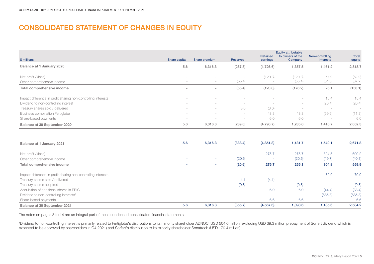# CONSOLIDATED STATEMENT OF CHANGES IN EQUITY

| \$ millions                                                                                           | Share capital                   | Share premium                             | <b>Reserves</b> | <b>Retained</b><br>earnings        | <b>Equity attributable</b><br>to owners of the<br>Company | Non-controlling<br>interests              | <b>Total</b><br>equity             |
|-------------------------------------------------------------------------------------------------------|---------------------------------|-------------------------------------------|-----------------|------------------------------------|-----------------------------------------------------------|-------------------------------------------|------------------------------------|
| Balance at 1 January 2020                                                                             | 5.6                             | 6,316.3                                   | (237.8)         | (4,726.6)                          | 1,357.5                                                   | 1,461.2                                   | 2,818.7                            |
| Net profit / (loss)<br>Other comprehensive income                                                     | $\overline{\phantom{a}}$        | $\hspace{0.1mm}-\hspace{0.1mm}$           | (55.4)          | (120.8)                            | (120.8)<br>(55.4)                                         | 57.9<br>(31.8)                            | (62.9)<br>(87.2)                   |
| Total comprehensive income                                                                            | $\overline{\phantom{a}}$        | $\sim$                                    | (55.4)          | (120.8)                            | (176.2)                                                   | 26.1                                      | (150.1)                            |
| Impact difference in profit sharing non-controlling interests<br>Dividend to non-controlling interest | $\overline{\phantom{a}}$        |                                           |                 | $\overline{\phantom{a}}$<br>$\sim$ | $\sim$<br>$\sim$                                          | 15.4<br>(26.4)                            | 15.4<br>(26.4)                     |
| Treasury shares sold / delivered<br><b>Business combination Fertiglobe</b>                            | $\overline{\phantom{a}}$        | $\hspace{0.1mm}-\hspace{0.1mm}$<br>$\sim$ | 3.6             | (3.6)<br>48.3                      | $\,$<br>48.3                                              | $\hspace{0.1mm}-\hspace{0.1mm}$<br>(59.6) | $\overline{\phantom{a}}$<br>(11.3) |
| Share-based payments                                                                                  | $\hspace{0.1mm}-\hspace{0.1mm}$ |                                           |                 | 6.0                                | 6.0                                                       | -                                         | 6.0                                |
| Balance at 30 September 2020                                                                          | 5.6                             | 6,316.3                                   | (289.6)         | (4,796.7)                          | 1,235.6                                                   | 1,416.7                                   | 2,652.3                            |

| Balance at 1 January 2021                                     | 5.6    | 6,316.3                  | (338.4)                  | (4,851.8)  | 1,131.7                  | 1,540.1                  | 2,671.8 |
|---------------------------------------------------------------|--------|--------------------------|--------------------------|------------|--------------------------|--------------------------|---------|
| Net profit / (loss)                                           |        | $\overline{\phantom{a}}$ |                          | 275.7      | 275.7                    | 324.5                    | 600.2   |
| Other comprehensive income                                    | ٠      | <b>COL</b>               | (20.6)                   |            | (20.6)                   | (19.7)                   | (40.3)  |
| Total comprehensive income                                    | ۰      |                          | (20.6)                   | 275.7      | 255.1                    | 304.8                    | 559.9   |
|                                                               |        |                          |                          |            |                          |                          |         |
| Impact difference in profit sharing non-controlling interests |        | . .                      |                          |            | $\sim$                   | 70.9                     | 70.9    |
| Treasury shares sold / delivered                              | ٠      | <b>COL</b>               | 4.1                      | (4.1)      | $\overline{\phantom{a}}$ | ٠                        | $\sim$  |
| Treasury shares acquired                                      | ٠      | <b>COL</b>               | (0.8)                    |            | (0.8)                    |                          | (0.8)   |
| Acquisition of additional shares in EBIC                      | ۰      | . .                      | <b>1999</b>              | 6.0        | 6.0                      | (44.4)                   | (38.4)  |
| Dividend to non-controlling interests <sup>1</sup>            | ٠      | . .                      | . .                      |            | $\overline{\phantom{a}}$ | (685.8)                  | (685.8) |
| Share-based payments                                          | $\sim$ | $\overline{\phantom{a}}$ | $\overline{\phantom{a}}$ | 6.6        | 6.6                      | $\overline{\phantom{a}}$ | 6.6     |
| <b>Balance at 30 September 2021</b>                           | 5.6    | 6,316.3                  | (355.7)                  | (4, 567.6) | 1,398.6                  | 1,185.6                  | 2,584.2 |

The notes on pages 8 to 14 are an integral part of these condensed consolidated financial statements.

<sup>1</sup>Dividend to non-controlling interest is primarily related to Fertiglobe's distributions to its minority shareholder ADNOC (USD 504.0 million, excluding USD 39.3 million prepayment of Sorfert dividend which is expected to be approved by shareholders in Q4 2021) and Sorfert's distribution to its minority shareholder Sonatrach (USD 179.4 million)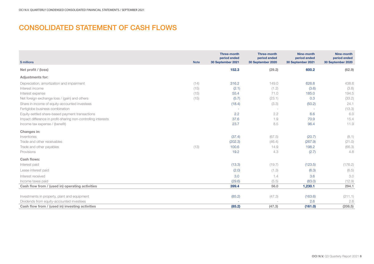# CONSOLIDATED STATEMENT OF CASH FLOWS

|                                                               |             | Three-month<br>period ended | Three-month<br>period ended | Nine-month<br>period ended | Nine-month<br>period ended |
|---------------------------------------------------------------|-------------|-----------------------------|-----------------------------|----------------------------|----------------------------|
| \$ millions                                                   | <b>Note</b> | 30 September 2021           | 30 September 2020           | 30 September 2021          | 30 September 2020          |
| Net profit / (loss)                                           |             | 152.3                       | (29.2)                      | 600.2                      | (62.9)                     |
| <b>Adjustments for:</b>                                       |             |                             |                             |                            |                            |
| Depreciation, amortization and impairment                     | (14)        | 316.2                       | 149.0                       | 626.8                      | 438.6                      |
| Interest income                                               | (15)        | (2.1)                       | (1.2)                       | (3.6)                      | (3.8)                      |
| Interest expense                                              | (15)        | 55.4                        | 71.0                        | 185.0                      | 194.5                      |
| Net foreign exchange loss / (gain) and others                 | (15)        | (5.7)                       | (23.1)                      | 0.3                        | (33.2)                     |
| Share in income of equity-accounted investees                 |             | (18.4)                      | (3.3)                       | (50.2)                     | 24.1                       |
| Fertiglobe business combination                               |             |                             | $\sim$                      |                            | (13.3)                     |
| Equity-settled share-based payment transactions               |             | 2.2                         | 2.2                         | 6.6                        | 6.0                        |
| Impact difference in profit-sharing non-controlling interests |             | 37.6                        | 1.9                         | 70.9                       | 15.4                       |
| Income tax expense / (benefit)                                |             | 23.7                        | 8.5                         | 96.4                       | 11.9                       |
| Changes in:                                                   |             |                             |                             |                            |                            |
| Inventories                                                   |             | (37.4)                      | (67.5)                      | (20.7)                     | (8.1)                      |
| Trade and other receivables                                   |             | (202.3)                     | (46.4)                      | (267.9)                    | (21.0)                     |
| Trade and other payables                                      | (13)        | 100.6                       | 14.9                        | 198.2                      | (66.3)                     |
| Provisions                                                    |             | 19.2                        | 4.3                         | (2.7)                      | 4.8                        |
| Cash flows:                                                   |             |                             |                             |                            |                            |
| Interest paid                                                 |             | (13.3)                      | (19.7)                      | (123.5)                    | (176.2)                    |
| Lease interest paid                                           |             | (2.0)                       | (1.3)                       | (6.3)                      | (6.5)                      |
| Interest received                                             |             | 3.0                         | 1.4                         | 3.6                        | 3.0                        |
| Income taxes paid                                             |             | (29.6)                      | (5.5)                       | (83.0)                     | (12.9)                     |
| Cash flow from / (used in) operating activities               |             | 399.4                       | 56.0                        | 1,230.1                    | 294.1                      |
|                                                               |             |                             |                             |                            |                            |
| Investments in property, plant and equipment                  |             | (85.2)                      | (47.3)                      | (163.6)                    | (211.1)                    |
| Dividends from equity-accounted investees                     |             |                             |                             | 2.6                        | 2.6                        |
| Cash flow from / (used in) investing activities               |             | (85.2)                      | (47.3)                      | (161.0)                    | (208.5)                    |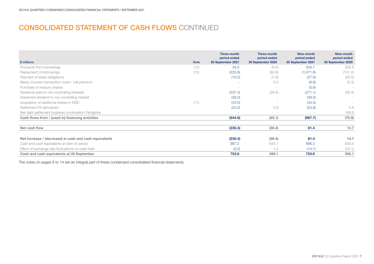# CONSOLIDATED STATEMENT OF CASH FLOWS CONTINUED

|                                                        |             | <b>Three-month</b><br>period ended | Three-month<br>period ended | Nine-month<br>period ended | Nine-month<br>period ended |
|--------------------------------------------------------|-------------|------------------------------------|-----------------------------|----------------------------|----------------------------|
| \$ millions                                            | <b>Note</b> | 30 September 2021                  | 30 September 2020           | 30 September 2021          | 30 September 2020          |
| Proceeds from borrowings                               | (12)        | 34.3                               | 43.6                        | 528.7                      | 555.9                      |
| Repayment of borrowings                                | (12)        | (225.8)                            | (80.8)                      | (1,071.6)                  | (741.2)                    |
| Payment of lease obligations                           |             | (10.2)                             | (7.6)                       | (27.9)                     | (26.5)                     |
| Newly incurred transaction costs / call premium        |             |                                    | 0.3                         | (8.9)                      | (5.3)                      |
| Purchase of treasury shares                            |             | ۰                                  | $\overline{\phantom{a}}$    | (0.8)                      | $\sim$                     |
| Dividends paid to non-controlling interests            |             | (237.4)                            | (26.4)                      | (271.1)                    | (26.4)                     |
| Advanced dividend to non-controlling interest          |             | (39.3)                             |                             | (39.3)                     | $\sim$                     |
| Acquisition of additional shares in EBIC               | (11)        | (43.0)                             |                             | (43.0)                     | $\sim$                     |
| Settlement FX derivatives                              |             | (23.2)                             | 5.8                         | (53.8)                     | 5.8                        |
| Net debt settlement business combination Fertiglobe    |             | ٠                                  | $\overline{\phantom{a}}$    | ٠                          | 166.8                      |
| Cash flows from / (used in) financing activities       |             | (544.6)                            | (65.1)                      | (987.7)                    | (70.9)                     |
| Net cash flow                                          |             | (230.4)                            | (56.4)                      | 81.4                       | 14.7                       |
| Net increase / (decrease) in cash and cash equivalents |             | (230.4)                            | (56.4)                      | 81.4                       | 14.7                       |
| Cash and cash equivalents at start of period           |             | 987.2                              | 645.1                       | 686.3                      | 600.5                      |
| Effect of exchange rate fluctuations on cash held      |             | (3.2)                              | 1.4                         | (14.1)                     | (25.1)                     |
| Cash and cash equivalents at 30 September              |             | 753.6                              | 590.1                       | 753.6                      | 590.1                      |

The notes on pages 8 to 14 are an integral part of these condensed consolidated financial statements.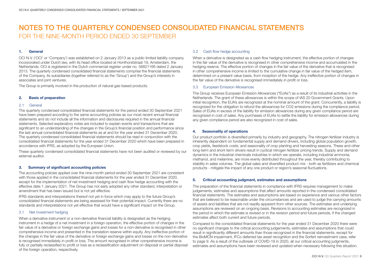# 1. General

OCI N.V. ('OCI' or 'Company') was established on 2 January 2013 as a public limited liability company incorporated under Dutch law, with its head office located at Honthorststraat 19, Amsterdam, the Netherlands. OCI is registered in the Dutch commercial register under no. 56821166 dated 2 January 2013. The quarterly condensed consolidated financial statements comprise the financial statements of the Company, its subsidiaries (together referred to as the 'Group') and the Group's interests in associates and joint ventures.

The Group is primarily involved in the production of natural gas-based products.

# 2. Basis of preparation

### 2.1 General

The quarterly condensed consolidated financial statements for the period ended 30 September 2021 have been prepared according to the same accounting policies as our most recent annual financial statements and do not include all the information and disclosures required in the annual financial statements. Selected explanatory notes are included to explain events and transactions that are significant to an understanding of the changes in the Group's financial position and performance since the last annual consolidated financial statements as at and for the year ended 31 December 2020. The quarterly condensed consolidated financial statements should be read in conjunction with the consolidated financial statements for the year ended 31 December 2020 which have been prepared in accordance with IFRS, as adopted by the European Union.

These quarterly condensed consolidated financial statements have not been audited or reviewed by our external auditor.

# 3. Summary of significant accounting policies

The accounting policies applied over the nine-month period ended 30 September 2021 are consistent with those applied in the consolidated financial statements for the year ended 31 December 2020, except for the implementation of net investment hedging and cash flow hedge accounting with the effective date 1 January 2021. The Group has not early adopted any other standard, interpretation or amendment that has been issued but is not yet effective.

IFRS standards and interpretations thereof not yet in force which may apply to the future Group's consolidated financial statements are being assessed for their potential impact. Currently there are no standards and interpretations not yet effective that would have a significant impact on the Group.

# 3.1 Net investment hedging

When a derivative instrument or a non-derivative financial liability is designated as the hedging instrument in a hedge of a net investment in a foreign operation, the effective portion of changes in the fair value of a derivative or foreign exchange gains and losses for a non-derivative is recognised in other comprehensive income and presented in the translation reserve within equity. Any ineffective portion of the changes in the fair value of the derivative or foreign exchange gains and losses on the non-derivative is recognised immediately in profit or loss. The amount recognised in other comprehensive income is fully or partially reclassified to profit or loss as a reclassification adjustment on disposal or partial disposal of the foreign operation, respectively.

# 3.2 Cash flow hedge accounting

When a derivative is designated as a cash flow hedging instrument, the effective portion of changes in the fair value of the derivative is recognised in other comprehensive income and accumulated in the hedging reserve. The effective portion of changes in the fair value of the derivative that is recognised in other comprehensive income is limited to the cumulative change in fair value of the hedged item, determined on a present value basis, from inception of the hedge. Any ineffective portion of changes in the fair value of the derivative is recognised immediately in profit or loss.

### 3.3 European Emission Allowances

The Group receives European Emission Allowances ("EUAs") as a result of its industrial activities in the Netherlands. The grant of these allowances is within the scope of IAS 20 Government Grants. Upon initial recognition, the EUA's are recognized at the nominal amount of the grant. Concurrently, a liability is recognized for the obligation to refund the allowances for CO2 emissions during the compliance period. Sales of EUAs in excess of the liability for emission allowances during any given compliance period are recognized in cost of sales. Any purchases of EUAs to settle the liability for emission allowances during any given compliance period are also recognized in cost of sales.

# 4. Seasonality of operations

Our product portfolio is diversified primarily by industry and geography. The nitrogen fertilizer industry is inherently dependent on fundamental supply and demand drivers, including global population growth, crop yields, feedstock costs, and seasonality of crop planting and harvesting seasons. These and other long-term and short-term drivers result in cyclical nitrogen fertilizer pricing trends. Supply and demand dynamics in the industrial chemicals industries in which we operate, including industrial ammonia, methanol, and melamine, are more evenly distributed throughout the year, thereby contributing to stability in sales volumes. The global sales and diversified product mix - both as fertilizers and chemical products - mitigate the impact of any one product or region's seasonal fluctuations.

# 5. Critical accounting judgment, estimates and assumptions

The preparation of the financial statements in compliance with IFRS requires management to make judgements, estimates and assumptions that affect amounts reported in the condensed consolidated financial statements. The estimates and assumptions are based on experience and various other factors that are believed to be reasonable under the circumstances and are used to judge the carrying amounts of assets and liabilities that are not readily apparent from other sources. The estimates and underlying assumptions are reviewed on an ongoing basis. Revisions to accounting estimates are recognized in the period in which the estimate is revised or in the revision period and future periods, if the changed estimates affect both current and future periods.

Compared to the consolidated financial statements for the year ended 31 December 2020 there were no significant changes to the critical accounting judgements, estimates and assumptions that could result in significantly different amounts than those recognized in the financial statements, except for the BioMCN impairment, IFCo deferred tax asset recognition and the Sorfert reinvestment case, refer to page 9. As a result of the outbreak of COVID-19 in 2020, all our critical accounting judgments, estimates and assumptions have been reviewed and updated when necessary following this situation.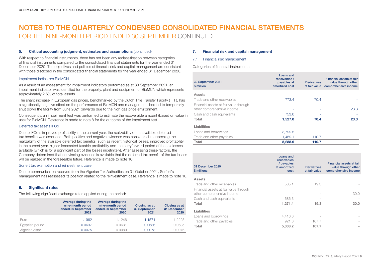### 5. Critical accounting judgment, estimates and assumptions (continued)

With respect to financial instruments, there has not been any reclassification between categories of financial instruments compared to the consolidated financial statements for the year ended 31 December 2020. The objectives and policies of financial risk and capital management are consistent with those disclosed in the consolidated financial statements for the year ended 31 December 2020.

### Impairment indicators BioMCN

As a result of an assessment for impairment indicators performed as at 30 September 2021, an impairment indicator was identified for the property, plant and equipment of BioMCN which represents approximately 2.6% of total assets.

The sharp increase in European gas prices, benchmarked by the Dutch Title Transfer Facility (TTF), has a significantly negative effect on the performance of BioMCN and management decided to temporarily shut down the facility from June 2021 onwards due to the high gas price environment.

Consequently, an impairment test was performed to estimate the recoverable amount (based on value in use) for BioMCN. Reference is made to note 8 for the outcome of the impairment test.

# Deferred tax assets **IFCo**

Due to IFCo's improved profitability in the current year, the realizability of the available deferred tax benefits was assessed. Both positive and negative evidence was considered in assessing the realizability of the available deferred tax benefits, such as recent historical losses, improved profitability in the current year, higher forecasted taxable profitability and the carryforward period of the tax losses available (which is for a significant part of the losses indefinitely). After assessing these factors, the Company determined that convincing evidence is available that the deferred tax benefit of the tax losses will be realized in the foreseeable future. Reference is made to note 10.

# Sorfert tax exemption and reinvestment case

Due to communication received from the Algerian Tax Authorities on 31 October 2021, Sorfert's management has reassesed its position related to the reinvestment case. Reference is made to note 16.

# 6. Significant rates

The following significant exchange rates applied during the period:

|                | Average during the<br>nine-month period<br>ended 30 September<br>2021 | Average during the<br>nine-month period<br>ended 30 September<br>2020 | <b>Closing as at</b><br>30 September<br>2021 | <b>Closing as at</b><br>31 December<br>2020 |
|----------------|-----------------------------------------------------------------------|-----------------------------------------------------------------------|----------------------------------------------|---------------------------------------------|
| Euro           | 1.1962                                                                | 1.1246                                                                | 1.1571                                       | 1.2225                                      |
| Egyptian pound | 0.0637                                                                | 0.0631                                                                | 0.0636                                       | 0.0635                                      |
| Algerian dinar | 0.0075                                                                | 0.0080                                                                | 0.0073                                       | 0.0076                                      |

## 7. Financial risk and capital management

### 7.1 Financial risk management

Categories of financial instruments:

| 30 September 2021<br>\$ million        | Loans and<br>receivables /<br>payables at<br>amortized cost | <b>Derivatives</b><br>at fair value | Financial assets at fair<br>value through other<br>comprehensive income |
|----------------------------------------|-------------------------------------------------------------|-------------------------------------|-------------------------------------------------------------------------|
| <b>Assets</b>                          |                                                             |                                     |                                                                         |
| Trade and other receivables            | 773.4                                                       | 70.4                                |                                                                         |
| Financial assets at fair value through |                                                             |                                     |                                                                         |
| other comprehensive income             |                                                             |                                     | 23.3                                                                    |
| Cash and cash equivalents              | 753.6                                                       |                                     |                                                                         |
| Total                                  | 1,527.0                                                     | 70.4                                | 23.3                                                                    |
| Liabilities                            |                                                             |                                     |                                                                         |
| Loans and borrowings                   | 3,799.5                                                     |                                     |                                                                         |
| Trade and other payables               | 1,489.1                                                     | 110.7                               |                                                                         |
| Total                                  | 5,288.6                                                     | 110.7                               |                                                                         |

| 31 December 2020<br>\$ millions        | Loans and<br>receivables<br>/ payables<br>at amortized<br>cost | <b>Derivatives</b><br>at fair value | Financial assets at fair<br>value through other<br>comprehensive income |
|----------------------------------------|----------------------------------------------------------------|-------------------------------------|-------------------------------------------------------------------------|
| <b>Assets</b>                          |                                                                |                                     |                                                                         |
| Trade and other receivables            | 585.1                                                          | 19.3                                |                                                                         |
| Financial assets at fair value through |                                                                |                                     |                                                                         |
| other comprehensive income             |                                                                |                                     | 30.0                                                                    |
| Cash and cash equivalents              | 686.3                                                          |                                     |                                                                         |
| Total                                  | 1,271.4                                                        | 19.3                                | 30.0                                                                    |
| Liabilities                            |                                                                |                                     |                                                                         |
| Loans and borrowings                   | 4,416.6                                                        |                                     |                                                                         |
| Trade and other payables               | 921.6                                                          | 107.7                               |                                                                         |
| Total                                  | 5,338.2                                                        | 107.7                               |                                                                         |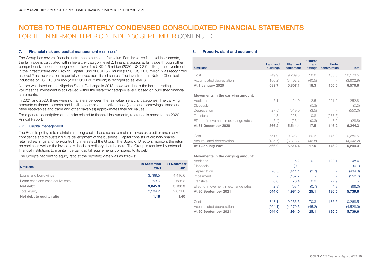## 7. Financial risk and capital management (continued)

The Group has several financial instruments carried at fair value. For derivative financial instruments, the fair value is calculated within hierarchy category level 2. Financial assets at fair value through other comprehensive income recognized as level 1 is USD 2.6 million (2020: USD 2.9 million), the investment in the Infrastructure and Growth Capital Fund of USD 5.7 million (2020: USD 6.3 million) was recognized as level 2 as the valuation is partially derived from listed shares. The investment in Notore Chemical Industries of USD 15.0 million (2020: USD 20.8 million) is recognized as level 3.

Notore was listed on the Nigerian Stock Exchange in 2018, however due to the lack in trading volumes the investment is still valued within the hierarchy category level 3 based on published financial statements.

In 2021 and 2020, there were no transfers between the fair value hierarchy categories. The carrying amounts of financial assets and liabilities carried at amortized cost (loans and borrowings, trade and other receivables and trade and other payables) approximates their fair values.

For a general description of the risks related to financial instruments, reference is made to the 2020 Annual Report.

# 7.2 Capital management

The Board's policy is to maintain a strong capital base so as to maintain investor, creditor and market confidence and to sustain future development of the business. Capital consists of ordinary shares, retained earnings and non-controlling interests of the Group. The Board of Directors monitors the return on capital as well as the level of dividends to ordinary shareholders. The Group is required by external financial institutions to maintain certain capital requirements compared to its debt.

The Group's net debt to equity ratio at the reporting date was as follows:

| \$ millions                            | 30 September<br>2021 | 31 December<br>2020 |
|----------------------------------------|----------------------|---------------------|
| Loans and borrowings                   | 3.799.5              | 4,416.6             |
| <b>Less:</b> cash and cash equivalents | 753.6                | 686.3               |
| Net debt                               | 3,045.9              | 3,730.3             |
| Total equity                           | 2.584.2              | 2,671.8             |
| Net debt to equity ratio               | 1.18                 | 1.40                |

## 8. Property, plant and equipment

| \$ millions                          | <b>Land and</b><br>buildings | <b>Plant and</b><br>equipment | <b>Fixtures</b><br>and<br>fittings | <b>Under</b><br>construction | <b>Total</b> |
|--------------------------------------|------------------------------|-------------------------------|------------------------------------|------------------------------|--------------|
| Cost                                 | 749.9                        | 9,209.3                       | 58.8                               | 155.5                        | 10,173.5     |
| Accumulated depreciation             | (160.2)                      | (3,402.2)                     | (40.5)                             |                              | (3,602.9)    |
| At 1 January 2020                    | 589.7                        | 5,807.1                       | 18.3                               | 155.5                        | 6,570.6      |
| Movements in the carrying amount:    |                              |                               |                                    |                              |              |
| Additions                            | 5.1                          | 24.0                          | 2.5                                | 221.2                        | 252.8        |
| <b>Disposals</b>                     | $\sim$                       |                               | (0.3)                              |                              | (0.3)        |
| Depreciation                         | (27.5)                       | (519.0)                       | (3.5)                              |                              | (550.0)      |
| <b>Transfers</b>                     | 4.3                          | 228.4                         | 0.8                                | (233.5)                      |              |
| Effect of movement in exchange rates | (5.4)                        | (26.1)                        | (0.3)                              | 3.0                          | (28.8)       |
| At 31 December 2020                  | 566.2                        | 5,514.4                       | 17.5                               | 146.2                        | 6,244.3      |
|                                      |                              |                               |                                    |                              |              |
| Cost                                 | 751.9                        | 9,328.1                       | 60.3                               | 146.2                        | 10,286.5     |
| Accumulated depreciation             | (185.7)                      | (3,813.7)                     | (42.8)                             |                              | (4,042.2)    |
| At 1 January 2021                    | 566.2                        | 5,514.4                       | 17.5                               | 146.2                        | 6,244.3      |
| Movements in the carrying amount:    |                              |                               |                                    |                              |              |
| <b>Additions</b>                     |                              | 15.2                          | 10.1                               | 123.1                        | 148.4        |
| <b>Disposals</b>                     |                              | (0.1)                         | ٠                                  |                              | (0.1)        |
| Depreciation                         | (20.5)                       | (411.1)                       | (2.7)                              |                              | (434.3)      |
| Impairment                           |                              | (152.7)                       |                                    |                              | (152.7)      |
| <b>Transfers</b>                     | 0.6                          | 76.4                          | 0.9                                | (77.9)                       |              |
| Effect of movement in exchange rates | (2.3)                        | (58.1)                        | (0.7)                              | (4.9)                        | (66.0)       |
| At 30 September 2021                 | 544.0                        | 4,984.0                       | 25.1                               | 186.5                        | 5,739.6      |
| Cost                                 | 748.1                        | 9,263.6                       | 70.3                               | 186.5                        | 10,268.5     |
| Accumulated depreciation             | (204.1)                      | (4,279.6)                     | (45.2)                             |                              | (4,528.9)    |
| At 30 September 2021                 | 544.0                        | 4,984.0                       | 25.1                               | 186.5                        | 5,739.6      |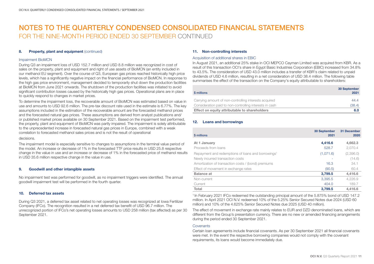# 8. Property, plant and equipment (continued)

## Impairment BioMCN

During Q3 an impairment loss of USD 152.7 million and USD 8.8 million was recognized in cost of sales on the property, plant and equipment and right of use assets of BioMCN (an entity included in our methanol EU segment). Over the course of Q3, European gas prices reached historically high price levels, which has a significantly negative impact on the financial performance of BioMCN. In response to the high gas price environment, management decided to temporarily shut down the production facilities at BioMCN from June 2021 onwards. The shutdown of the production facilities was initiated to avoid significant contribution losses caused by the historically high gas prices. Operational plans are in place to quickly respond to changes in market prices.

To determine the impairment loss, the recoverable amount of BioMCN was estimated based on value in use and amounts to USD 92.6 million. The pre-tax discount rate used in the estimate is 6.77%. The key assumptions included in the estimation of the recoverable amount are the forecasted methanol prices and the forecasted natural gas prices. These assumptions are derived from analyst publications and/ or published market prices available on 30 September 2021. Based on the impairment test performed, the property, plant and equipment of BioMCN was partly impaired. The impairment is solely attributable to the unprecedented increase in forecasted natural gas prices in Europe, combined with a weak correlation to forecasted methanol sales prices and is not the result of operational

#### decisions.

The impairment model is especially sensitive to changes to assumptions in the terminal value period of the model. An increase or decrease of 1% in the forecasted TTF price results in USD 25.8 respective change in the value in use and an increase or decrease of 1% in the forecasted price of methanol results in USD 35.6 million respective change in the value in use.

### 9. Goodwill and other intangible assets

No impairment test was performed for goodwill, as no impairment triggers were identified. The annual goodwill impairment test will be performed in the fourth quarter.

# 10. Deferred tax assets

During Q3 2021, a deferred tax asset related to net operating losses was recognized at Iowa Fertilizer Company (IFCo). The recognition resulted in a net deferred tax benefit of USD 96.7 million. The unrecognized portion of IFCo's net operating losses amounts to USD 258 million (tax affected) as per 30 September 2021.

# 11. Non-controlling interests

### Acquisition of additional shares in EBIC

In August 2021, an additional 25% stake in OCI MEPCO Cayman Limited was acquired from KBR. As a result of this transaction OCI's share in Egypt Basic Industries Corporation (EBIC) increased from 34.8% to 43.5%. The consideration of USD 43.0 million includes a transfer of KBR's claim related to unpaid dividends of USD 4.6 million, resulting in a net consideration of USD 38.4 million. The following table summarises the effect of the transaction on the Company's equity attributable to shareholders:

| \$ millions                                             | 30 September<br>2021 |
|---------------------------------------------------------|----------------------|
| Carrying amount of non-controlling interests acquired   | 44.4                 |
| Consideration paid to non-controlling interests in cash | (38.4)               |
| Effect on equity attributable to shareholders           | 6.0                  |

# 12. Loans and borrowings

| \$ millions                                                    | 30 September<br>2021 | 31 December<br>2020 |
|----------------------------------------------------------------|----------------------|---------------------|
| At 1 January                                                   | 4,416.6              | 4,662.3             |
| Proceeds from loans                                            | 528.7                | 2,070.4             |
| Repayment and redemptions of loans and borrowings <sup>1</sup> | (1,071.6)            | (2,396.0)           |
| Newly incurred transaction costs                               |                      | (14.6)              |
| Amortization of transaction costs / (bond) premiums            | 16.3                 | 34.1                |
| Effect of movement in exchange rates                           | (90.5)               | 60.4                |
| <b>Balance</b> at                                              | 3,799.5              | 4,416.6             |
| Non-current                                                    | 3,395.5              | 4,226.9             |
| Current                                                        | 404.0                | 189.7               |
| Total                                                          | 3.799.5              | 4.416.6             |

1 In February 2021 IFCo redeemed the outstanding principal amount of the 5.875% bond of USD 147.2 million. In April 2021 OCI N.V. redeemed 10% of the 5.25% Senior Secured Notes due 2024 (USD 60 million) and 10% of the 4.625% Senior Secured Notes due 2025 (USD 40 million).

The effect of movement in exchange rate mainly relates to EUR and DZD denominated loans, which are different from the Group's presentation currency. There are no new or amended financing arrangements during the period ended 30 September 2021.

### **Covenants**

Certain loan agreements include financial covenants. As per 30 September 2021 all financial covenants were met. In the event the respective borrowing companies would not comply with the covenant requirements, its loans would become immediately due.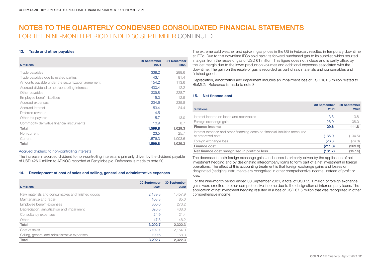# 13. Trade and other payables

| \$ millions                                        | 30 September<br>2021 | <b>31 December</b><br>2020 |
|----------------------------------------------------|----------------------|----------------------------|
| Trade payables                                     | 338.2                | 298.6                      |
| Trade payables due to related parties              | 43.1                 | 81.4                       |
| Amounts payable under the securitization agreement | 154.2                | 113.6                      |
| Accrued dividend to non-controlling interests      | 430.4                | 12.2                       |
| Other payables                                     | 309.8                | 228.7                      |
| Employee benefit liabilities                       | 15.0                 | 12.9                       |
| Accrued expenses                                   | 234.6                | 235.8                      |
| Accrued interest                                   | 53.4                 | 24.4                       |
| Deferred revenue                                   | 4.5                  |                            |
| Other tax payable                                  | 5.7                  | 13.0                       |
| Commodity derivative financial instruments         | 10.9                 | 8.7                        |
| Total                                              | 1,599.8              | 1,029.3                    |
| Non-current                                        | 23.5                 | 25.7                       |
| Current                                            | 1,576.3              | 1,003.6                    |
| Total                                              | 1,599.8              | 1.029.3                    |

# Accrued dividend to non-controlling interests

The increase in accrued dividend to non-controlling interests is primarily driven by the dividend payable of USD 426.0 million to ADNOC recorded at Fertiglobe plc. Reference is made to note 20.

# 14. Development of cost of sales and selling, general and administrative expenses

| \$ millions                                      | 30 September<br>2021 | 30 September<br>2020 |
|--------------------------------------------------|----------------------|----------------------|
| Raw materials and consumables and finished goods | 2,189.8              | 1,457.9              |
| Maintenance and repair                           | 103.3                | 85.0                 |
| Employee benefit expenses                        | 300.6                | 273.2                |
| Depreciation, amortization and impairment        | 626.8                | 438.6                |
| Consultancy expenses                             | 24.9                 | 21.4                 |
| Other                                            | 47.3                 | 46.2                 |
| Total                                            | 3,292.7              | 2,322.3              |
| Cost of sales                                    | 3.102.1              | 2.154.0              |
| Selling, general and administrative expenses     | 190.6                | 168.3                |
| Total                                            | 3.292.7              | 2.322.3              |

The extreme cold weather and spike in gas prices in the US in February resulted in temporary downtime at IFCo. Due to this downtime IFCo sold back its forward purchased gas to its supplier, which resulted in a gain from the resale of gas of USD 61 million. This figure does not include and is partly offset by the lost margin due to the lower production volumes and additional expenses associated with the downtime. The gain on the resale of gas is recorded as part of raw materials and consumables and finished goods.

Depreciation, amortization and impairment includes an impairment loss of USD 161.5 million related to BioMCN. Reference is made to note 8.

# 15. Net finance cost

| \$ millions                                                                                       | 30 September<br>2021 | 30 September<br>2020 |
|---------------------------------------------------------------------------------------------------|----------------------|----------------------|
| Interest income on loans and receivables                                                          | 3.6                  | 3.8                  |
| Foreign exchange gain                                                                             | 26.0                 | 108.0                |
| <b>Finance income</b>                                                                             | 29.6                 | 111.8                |
| Interest expense and other financing costs on financial liabilities measured<br>at amortized cost | (185.0)              | (194.5)              |
| Foreign exchange loss                                                                             | (26.3)               | (74.8)               |
| Finance cost                                                                                      | (211.3)              | (269.3)              |
| Net finance cost recognized in profit or loss                                                     | (181.7)              | (157.5)              |

The decrease in both foreign exchange gains and losses is primarily driven by the application of net investment hedging and by designating intercompany loans to form part of a net investment in foreign operations. The effect of this accounting treatment is that foreign exchange gains and losses on designated (hedging) instruments are recognized in other comprehensive income, instead of profit or loss.

For the nine-month period ended 30 September 2021, a total of USD 55.1 million of foreign exchange gains were credited to other comprehensive income due to the designation of intercompany loans. The application of net investment hedging resulted in a loss of USD 67.5 million that was recognized in other comprehensive income.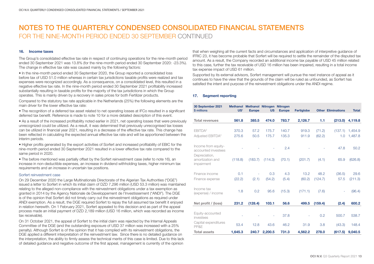# 16. Income taxes

The Group's consolidated effective tax rate in respect of continuing operations for the nine-month period ended 30 September 2021 was 13.8% (for the nine-month period ended 30 September 2020: -23.3%). The change in effective tax rate was caused mainly by the following factors:

• In the nine-month period ended 30 September 2020, the Group reported a consolidated loss before tax of USD 51.0 million whereas in certain tax jurisdictions taxable profits were realized and tax expenses were recognized accordingly. As a consequence, on a consolidated level, this resulted in a negative effective tax rate. In the nine-month period ended 30 September 2021 profitability increased substantially resulting in taxable profits for the majority of the tax jurisdictions in which the Group operates. This is mainly driven by a recovery in sales prices for both Fertilizer products.

Compared to the statutory tax rate applicable in the Netherlands (25%) the following elements are the main driver for the lower effective tax rate:

• The recognition of a deferred tax asset related to net operating losses at IFCo resulted in a significant deferred tax benefit. Reference is made to note 10 for a more detailed description of this event.

• As a result of the increased profitability noted earlier in 2021, net operating losses that were previously unrecognized could be utilized. As a result, it was determined that previously unrecognised tax losses can be utilized in financial year 2021, resulting in a decrease of the effective tax rate. This change has been reflected in calculating the expected annual effective tax rate and will be apportioned between the interim periods.

• Higher profits generated by the export activities of Sorfert and increased profitability of EBIC for the nine-month period ended 30 September 2021 resulted in a lower effective tax rate compared to the same period in 2020.

• The before mentioned was partially offset by the Sorfert reinvestment case (refer to note 16), an increase in non-deductible expenses, an increase in dividend withholding taxes, higher minimum tax requirements and an increase in uncertain tax positions.

# Sorfert reinvestment case

On 29 December 2020 the Large Multinationals Directorate of the Algerian Tax Authorities ("DGE") issued a letter to Sorfert in which its initial claim of DZD 7,296 million (USD 53.3 million) was maintained relating to the alleged non-compliance with the reinvestment obligations under a tax exemption as granted in 2014 by the Agency Nationale de Developpement de l'Investissement ("ANDI"). The DGE is of the opinion that Sorfert did not timely carry out the reinvestment obligations as required under ANDI exemption. As a result, the DGE required Sorfert to repay the full assumed tax benefit it enjoyed in relation herewith. On 1 February 2021, Sorfert appealed to this decision and as part of the appeal process made an initial payment of DZD 2,189 million (USD 16 million, which was recorded as income tax receivable).

On 31 October 2021, the appeal of Sorfert to the initial claim was rejected by the Internal Appeals Committee of the DGE (and the outstanding exposure of USD 37 million was increased with a 25% penalty). Although Sorfert is of the opinion that it has complied with its reinvestment obligations, the DGE applied a different interpretation of the reinvestment law. Since there is no detailed guidance on the interpretation, the ability to firmly assess the technical merits of this case is limited. Due to this lack of detailed guidance and negative outcome of the first appeal, management is currently of the opinion

that when weighing all the current facts and circumstances and application of interpretive guidance of IFRIC 23, it has become probable that Sorfert will be required to settle the remainder of the disputed tax amount. As a result, the Company recorded an additional income tax payable of USD 45 million related to this case, further the tax receivable of USD 16 million has been impaired, resulting in a total income tax expense impact of USD 61 million.

Supported by its external advisors, Sorfert management will pursue the next instance of appeal as it continues to have the view that the grounds of the claim will be ruled as unfounded, as Sorfert has satisfied the intent and purpose of the reinvestment obligations under the ANDI regime.

# 17. Segment reporting

| 30 September 2021<br>\$ millions                                                              | US <sup>1</sup> | Methanol Methanol Nitrogen Nitrogen<br><b>Europe</b> | <b>US</b> | <b>Europe</b> | <b>Fertiglobe</b> |         | <b>Other Eliminations</b> | <b>Total</b>    |
|-----------------------------------------------------------------------------------------------|-----------------|------------------------------------------------------|-----------|---------------|-------------------|---------|---------------------------|-----------------|
| <b>Total revenues</b>                                                                         | 561.8           | 385.5                                                | 474.0     | 783.7         | 2,126.7           | 1.1     | (213.0)                   | 4,119.8         |
|                                                                                               |                 |                                                      |           |               |                   |         |                           |                 |
| EBITDA <sup>2</sup>                                                                           | 370.3           | 57.2                                                 | 175.7     | 140.7         | 919.3             | (71.2)  | (137.1)                   | 1,454.9         |
| Adjusted EBITDA <sup>2</sup>                                                                  | 275.6           | 50.5                                                 | 175.7     | 135.3         | 911.9             | (62.2)  | 1.0                       | 1,487.8         |
| Income from equity-<br>accounted investees<br>Depreciation,<br>amortization and<br>impairment | (118.8)         | (183.7)                                              | (114.3)   | 2.4<br>(70.1) | (201.7)           | (4.1)   | 47.8<br>65.9              | 50.2<br>(626.8) |
|                                                                                               |                 |                                                      |           |               |                   |         |                           |                 |
| Finance income                                                                                | 0.1             | ٠                                                    | 0.3       | 4.3           | 13.2              | 48.2    | (36.5)                    | 29.6            |
| Finance expense                                                                               | (22.2)          | (2.1)                                                | (54.2)    | (5.4)         | (60.2)            | (124.7) | 57.5                      | (211.3)         |
| Income tax<br>(expense) / income                                                              | 1.8             | 0.2                                                  | 95.6      | (15.3)        | (171.1)           | (7.6)   |                           | (96.4)          |
| Net profit / (loss)                                                                           | 231.2           | (128.4)                                              | 103.1     | 56.6          | 499.5             | (159.4) | (2.4)                     | 600.2           |
|                                                                                               |                 |                                                      |           |               |                   |         |                           |                 |
| Equity-accounted<br>investees                                                                 |                 |                                                      |           | 37.8          |                   | 0.2     | 500.7                     | 538.7           |
| Capital expenditures<br>PP&F                                                                  | 53.4            | 12.8                                                 | 43.6      | 46.2          | 31.9              | 3.8     | (43.3)                    | 148.4           |
| <b>Total assets</b>                                                                           | 1,645.3         | 240.7                                                | 2,200.5   | 731.3         | 4,562.2           | 278.0   | (617.5)                   | 9,040.5         |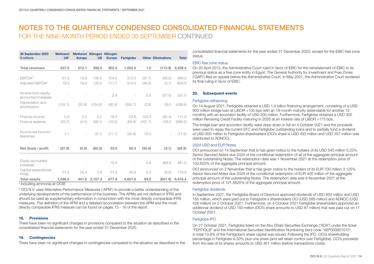| 30 September 2020<br>\$ millions           | <b>Methanol</b><br>US <sup>1</sup> | Methanol Nitrogen Nitrogen<br><b>Europe</b> | <b>US</b>                | <b>Europe</b> | <b>Fertiglobe</b>        |         | <b>Other Eliminations</b> | <b>Total</b> |
|--------------------------------------------|------------------------------------|---------------------------------------------|--------------------------|---------------|--------------------------|---------|---------------------------|--------------|
|                                            |                                    |                                             |                          |               |                          |         |                           |              |
| <b>Total revenues</b>                      | 327.9                              | 212.1                                       | 398.5                    | 562.4         | 1,052.4                  | 1.0     | (115.9)                   | 2,438.4      |
|                                            |                                    |                                             |                          |               |                          |         |                           |              |
| EBITDA <sup>2</sup>                        | 91.3                               | 19.8                                        | 135.5                    | 104.5         | 312.0                    | (37.7)  | (56.2)                    | 569.2        |
| Adjusted EBITDA <sup>2</sup>               | 73.5                               | 19.0                                        | 135.5                    | 111.7         | 315.5                    | (48.2)  | (3.1)                     | 603.9        |
|                                            |                                    |                                             |                          |               |                          |         |                           |              |
| Income from equity-<br>accounted investees |                                    |                                             |                          | 2.4           | $\overline{\phantom{a}}$ | 0.5     | (27.0)                    | (24.1)       |
| Depreciation and                           |                                    |                                             |                          |               |                          |         |                           |              |
| amortization                               | (105.1)                            | (20.8)                                      | (104.8)                  | (60.4)        | (200.7)                  | (2.8)   | 56.0                      | (438.6)      |
|                                            |                                    |                                             |                          |               |                          |         |                           |              |
| Finance income                             | 0.5                                | 0.3                                         | 0.2                      | 16.3          | 23.6                     | 153.3   | (82.4)                    | 111.8        |
| Finance expense                            | (25.7)                             | (4.3)                                       | (96.1)                   | (18.2)        | (63.8)                   | (167.7) | 106.5                     | (269.3)      |
|                                            |                                    |                                             |                          |               |                          |         |                           |              |
| Income tax income /                        | 1.1                                | $\overline{\phantom{a}}$                    | (0.1)                    | (11.1)        | (20.8)                   | 19.0    |                           | (11.9)       |
| (expense)                                  |                                    |                                             |                          |               |                          |         |                           |              |
|                                            |                                    |                                             |                          |               |                          |         |                           |              |
| Net (loss) / profit                        | (37.9)                             | (5.0)                                       | (65.3)                   | 33.5          | 50.3                     | (35.4)  | (3.1)                     | (62.9)       |
|                                            |                                    |                                             |                          |               |                          |         |                           |              |
| Equity-accounted                           |                                    |                                             | $\overline{\phantom{a}}$ | 15.4          |                          | 0.8     | 464.8                     | 481.0        |
| investees                                  |                                    |                                             |                          |               |                          |         |                           |              |
| Capital expenditures<br>PP&E               | 51.3                               | 35.4                                        | 3.9                      | 51.3          | 45.9                     | 0.3     | (8.5)                     | 179.6        |
| <b>Total assets</b>                        | 1,596.5                            | 441.8                                       | 2,167.3                  | 677.9         | 4,601.8                  | 93.0    | (601.9)                   | 8,976.4      |

1 Including ammonia at OCIB

2 OCI N.V. uses Alternative Performance Measures ('APM') to provide a better understanding of the underlying developments of the performance of the business. The APMs are not defined in IFRS and should be used as supplementary information in conjunction with the most directly comparable IFRS measures. The definition of the APM and a detailed reconciliation between the APM and the most directly comparable IFRS measure can be found on pages 15 - 16 of the report.

# 18. Provisions

There have been no significant changes in provisions compared to the situation as described in the consolidated financial statements for the year ended 31 December 2020.

# 19. Contingencies

There have been no significant changes in contingencies compared to the situation as described in the

consolidated financial statements for the year ended 31 December 2020, except for the EBIC free zone status.

### EBIC free zone status

On 20 April 2013, the Administrative Court ruled in favor of EBIC for the reinstatement of EBIC to its previous status as a free zone entity in Egypt. The General Authority for Investment and Free Zones ('GAFI') filed an appeal before the Administrative Court. In May 2021, the Administrative Court rendered its final ruling in favor of EBIC.

# 20. Subsequent events

# Fertiglobe refinancing

On 14 August 2021, Fertiglobe obtained a USD 1.4 billion financing arrangement, consisting of a USD 900 million bridge loan at LIBOR +105 bps with an 18-month maturity (extendable for another 12 months) with an accordion facility of USD 200 million. Furthermore, Fertiglobe obtained a USD 300 million Revolving Credit Facility maturing in 2026 at an interest rate of LIBOR +175 bps.

The bridge loan and accordion facility were draw down in full on 4 October 2021 and the proceeds were used to repay the current EFC and Fertiglobe outstanding loans and to partially fund a dividend of USD 850 million to Fertiglobe shareholders (OCI's share is USD 493 million and USD 357 million was distributed to ADNOC).

# 2024 USD and EUR Notes

OCI announced on 14 September that is has given notice to the holders of its USD 540 million 5.25% Senior Secured Notes due 2024 of the conditional redemption of all of the aggregate principal amount of the outstanding Notes. The redemption date was 1 November 2021 at the redemption price of 102.625% of the aggregate principal amount.

OCI announced on 2 November that is has given notice to the holders of its EUR 700 million 3.125% Senior Secured Notes due 2024 of the conditional redemption of EUR 400 million of the aggregate principal amount of the outstanding Notes. The redemption date was 8 November 2021 at the redemption price of 101.5625% of the aggregate principal amount.

# Fertiglobe dividends

In September 2021, the Fertiglobe Board of Directors approved dividends of USD 850 million and USD 165 million, which were paid out to Fertiglobe's shareholders OCI (USD 589 million) and ADNOC (USD 426 million) on 5 October 2021. Furthermore, on 4 October 2021 Fertiglobe shareholders approved an additional dividend of USD 150 million (OCI's share amounts to USD 87 million) that was paid out on 11 October 2021.

# Fertiglobe IPO

On 27 October 2021, Fertiglobe listed on the Abu Dhabi Securities Exchange ("ADX") under the ticker "FERTIGLB" and the International Securities Identification Numbering (Isin) code "AEF000901015", in total 13.8% of the Fertiglobe's share capital was issued. Following the IPO, OCI's shareholding percentage in Fertiglobe is 50% plus one share (and will retain control over Fertiglobe). OCI's proceeds from the sale of its shares amounts to USD 461 million (before transactions costs).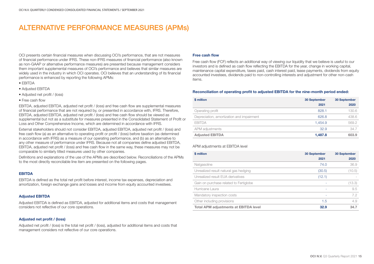# ALTERNATIVE PERFORMANCE MEASURES (APMs)

OCI presents certain financial measures when discussing OCI's performance, that are not measures of financial performance under IFRS. These non-IFRS measures of financial performance (also known as non-GAAP or alternative performance measures) are presented because management considers them important supplemental measures of OCI's performance and believes that similar measures are widely used in the industry in which OCI operates. OCI believes that an understanding of its financial performance is enhanced by reporting the following APMs:

- EBITDA
- Adjusted EBITDA
- Adjusted net profit / (loss)
- Free cash flow

EBITDA, adjusted EBITDA, adjusted net profit / (loss) and free cash flow are supplemental measures of financial performance that are not required by, or presented in accordance with, IFRS. Therefore, EBITDA, adjusted EBITDA, adjusted net profit / (loss) and free cash flow should be viewed as supplemental but not as a substitute for measures presented in the Consolidated Statement of Profit or Loss and Other Comprehensive Income, which are determined in accordance with IFRS.

External stakeholders should not consider EBITDA, adjusted EBITDA, adjusted net profit / (loss) and free cash flow (a) as an alternative to operating profit or profit / (loss) before taxation (as determined in accordance with IFRS) as a measure of our operating performance, and (b) as an alternative to any other measure of performance under IFRS. Because not all companies define adjusted EBITDA, EBITDA, adjusted net profit / (loss) and free cash flow in the same way, these measures may not be comparable to similarly titled measures used by other companies.

Definitions and explanations of the use of the APMs are described below. Reconciliations of the APMs to the most directly reconcilable line item are presented on the following pages.

# EBITDA

EBITDA is defined as the total net profit before interest, income tax expenses, depreciation and amortization, foreign exchange gains and losses and income from equity accounted investees.

# Adjusted EBITDA

Adjusted EBITDA is defined as EBITDA, adjusted for additional items and costs that management considers not reflective of our core operations.

# Adjusted net profit / (loss)

Adjusted net profit / (loss) is the total net profit / (loss), adjusted for additional items and costs that management considers not reflective of our core operations.

## Free cash flow

Free cash flow (FCF) reflects an additional way of viewing our liquidity that we believe is useful to our investors and is defined as cash flow reflecting the EBITDA for the year, change in working capital, maintenance capital expenditure, taxes paid, cash interest paid, lease payments, dividends from equity accounted investees, dividends paid to non-controlling interests and adjustment for other non-cash items.

# Reconciliation of operating profit to adjusted EBITDA for the nine-month period ended:

| \$ million                                | 30 September | 30 September |
|-------------------------------------------|--------------|--------------|
|                                           | 2021         | 2020         |
| Operating profit                          | 828.1        | 130.6        |
| Depreciation, amortization and impairment | 626.8        | 438.6        |
| <b>EBITDA</b>                             | 1.454.9      | 569.2        |
| APM adjustments                           | 32.9         | 34.7         |
| <b>Adjusted EBITDA</b>                    | 1,487.8      | 603.9        |

# APM adjustments at EBITDA level

| \$ million                                   | <b>30 September</b><br>2021 | <b>30 September</b><br>2020 |
|----------------------------------------------|-----------------------------|-----------------------------|
| Natgasoline                                  | 74.0                        | 36.9                        |
| Unrealized result natural gas hedging        | (30.5)                      | (10.5)                      |
| Unrealized result EUA derivatives            | (12.1)                      |                             |
| Gain on purchase related to Fertiglobe       |                             | (13.3)                      |
| Hurricane Laura                              | ۰                           | 9.5                         |
| Mandatory inspection costs                   |                             | 7.2                         |
| Other including provisions                   | 1.5                         | 4.9                         |
| <b>Total APM adjustments at EBITDA level</b> | 32.9                        | 34.7                        |